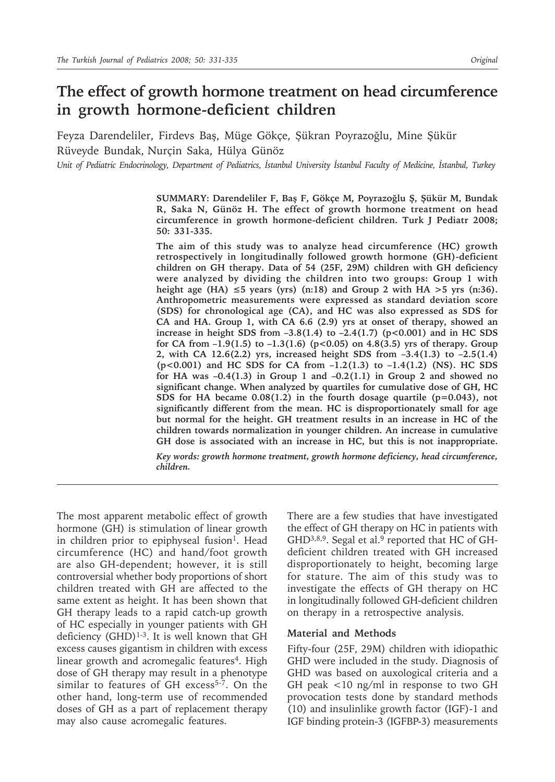# **The effect of growth hormone treatment on head circumference in growth hormone-deficient children**

Feyza Darendeliler, Firdevs Baş, Müge Gökçe, Şükran Poyrazoğlu, Mine Şükür Rüveyde Bundak, Nurçin Saka, Hülya Günöz

*Unit of Pediatric Endocrinology, Department of Pediatrics, İstanbul University İstanbul Faculty of Medicine, İstanbul, Turkey*

**SUMMARY: Darendeliler F, Baş F, Gökçe M, Poyrazoğlu Ş, Şükür M, Bundak R, Saka N, Günöz H. The effect of growth hormone treatment on head circumference in growth hormone-deficient children. Turk J Pediatr 2008; 50: 331-335.**

**The aim of this study was to analyze head circumference (HC) growth retrospectively in longitudinally followed growth hormone (GH)-deficient children on GH therapy. Data of 54 (25F, 29M) children with GH deficiency were analyzed by dividing the children into two groups: Group 1 with**  height age (HA)  $\leq 5$  years (yrs) (n:18) and Group 2 with HA  $> 5$  yrs (n:36). **Anthropometric measurements were expressed as standard deviation score (SDS) for chronological age (CA), and HC was also expressed as SDS for CA and HA. Group 1, with CA 6.6 (2.9) yrs at onset of therapy, showed an increase in height SDS from**  $-3.8(1.4)$  **to**  $-2.4(1.7)$  **(p** $<0.001$ **) and in HC SDS for CA from –1.9(1.5) to –1.3(1.6) (p<0.05) on 4.8(3.5) yrs of therapy. Group 2, with CA 12.6(2.2) yrs, increased height SDS from –3.4(1.3) to –2.5(1.4) (p<0.001) and HC SDS for CA from –1.2(1.3) to –1.4(1.2) (NS). HC SDS for HA was –0.4(1.3) in Group 1 and –0.2(1.1) in Group 2 and showed no significant change. When analyzed by quartiles for cumulative dose of GH, HC SDS** for HA became  $0.08(1.2)$  in the fourth dosage quartile  $(p=0.043)$ , not **significantly different from the mean. HC is disproportionately small for age but normal for the height. GH treatment results in an increase in HC of the children towards normalization in younger children. An increase in cumulative GH dose is associated with an increase in HC, but this is not inappropriate.**

*Key words: growth hormone treatment, growth hormone deficiency, head circumference, children.*

The most apparent metabolic effect of growth hormone (GH) is stimulation of linear growth in children prior to epiphyseal fusion<sup>1</sup>. Head circumference (HC) and hand/foot growth are also GH-dependent; however, it is still controversial whether body proportions of short children treated with GH are affected to the same extent as height. It has been shown that GH therapy leads to a rapid catch-up growth of HC especially in younger patients with GH deficiency  $(GHD)^{1-3}$ . It is well known that GH excess causes gigantism in children with excess linear growth and acromegalic features<sup>4</sup>. High dose of GH therapy may result in a phenotype similar to features of GH excess<sup>5-7</sup>. On the other hand, long-term use of recommended doses of GH as a part of replacement therapy may also cause acromegalic features.

There are a few studies that have investigated the effect of GH therapy on HC in patients with GHD<sup>3,8,9</sup>. Segal et al.<sup>9</sup> reported that HC of GHdeficient children treated with GH increased disproportionately to height, becoming large for stature. The aim of this study was to investigate the effects of GH therapy on HC in longitudinally followed GH-deficient children on therapy in a retrospective analysis.

#### **Material and Methods**

Fifty-four (25F, 29M) children with idiopathic GHD were included in the study. Diagnosis of GHD was based on auxological criteria and a GH peak <10 ng/ml in response to two GH provocation tests done by standard methods (10) and insulinlike growth factor (IGF)-1 and IGF binding protein-3 (IGFBP-3) measurements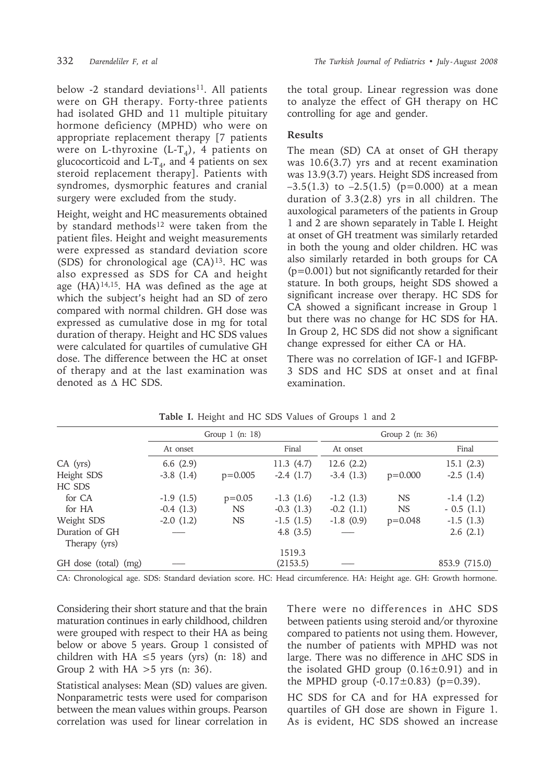below -2 standard deviations<sup>11</sup>. All patients were on GH therapy. Forty-three patients had isolated GHD and 11 multiple pituitary hormone deficiency (MPHD) who were on appropriate replacement therapy [7 patients were on L-thyroxine (L-T<sub>4</sub>), 4 patients on glucocorticoid and L-T<sub>4</sub>, and 4 patients on sex steroid replacement therapy]. Patients with syndromes, dysmorphic features and cranial surgery were excluded from the study.

Height, weight and HC measurements obtained by standard methods<sup>12</sup> were taken from the patient files. Height and weight measurements were expressed as standard deviation score (SDS) for chronological age  $(CA)^{13}$ . HC was also expressed as SDS for CA and height age  $(HA)^{14,15}$ . HA was defined as the age at which the subject's height had an SD of zero compared with normal children. GH dose was expressed as cumulative dose in mg for total duration of therapy. Height and HC SDS values were calculated for quartiles of cumulative GH dose. The difference between the HC at onset of therapy and at the last examination was denoted as ∆ HC SDS.

the total group. Linear regression was done to analyze the effect of GH therapy on HC controlling for age and gender.

### **Results**

The mean (SD) CA at onset of GH therapy was 10.6(3.7) yrs and at recent examination was 13.9(3.7) years. Height SDS increased from  $-3.5(1.3)$  to  $-2.5(1.5)$  (p=0.000) at a mean duration of 3.3(2.8) yrs in all children. The auxological parameters of the patients in Group 1 and 2 are shown separately in Table I. Height at onset of GH treatment was similarly retarded in both the young and older children. HC was also similarly retarded in both groups for CA (p=0.001) but not significantly retarded for their stature. In both groups, height SDS showed a significant increase over therapy. HC SDS for CA showed a significant increase in Group 1 but there was no change for HC SDS for HA. In Group 2, HC SDS did not show a significant change expressed for either CA or HA.

There was no correlation of IGF-1 and IGFBP-3 SDS and HC SDS at onset and at final examination.

|                      | Group $1$ (n: 18) |           |             | Group $2$ (n: 36) |           |               |
|----------------------|-------------------|-----------|-------------|-------------------|-----------|---------------|
|                      | At onset          |           | Final       | At onset          |           | Final         |
| $CA$ (yrs)           | 6.6 $(2.9)$       |           | 11.3(4.7)   | 12.6(2.2)         |           | 15.1(2.3)     |
| Height SDS           | $-3.8(1.4)$       | $p=0.005$ | $-2.4(1.7)$ | $-3.4(1.3)$       | $p=0.000$ | $-2.5(1.4)$   |
| HC SDS               |                   |           |             |                   |           |               |
| for CA               | $-1.9(1.5)$       | $p=0.05$  | $-1.3(1.6)$ | $-1.2(1.3)$       | <b>NS</b> | $-1.4(1.2)$   |
| for HA               | $-0.4(1.3)$       | <b>NS</b> | $-0.3(1.3)$ | $-0.2(1.1)$       | <b>NS</b> | $-0.5(1.1)$   |
| Weight SDS           | $-2.0(1.2)$       | <b>NS</b> | $-1.5(1.5)$ | $-1.8(0.9)$       | $p=0.048$ | $-1.5(1.3)$   |
| Duration of GH       |                   |           | 4.8 $(3.5)$ |                   |           | 2.6(2.1)      |
| Therapy (yrs)        |                   |           |             |                   |           |               |
|                      |                   |           | 1519.3      |                   |           |               |
| GH dose (total) (mg) |                   |           | (2153.5)    |                   |           | 853.9 (715.0) |

**Table I.** Height and HC SDS Values of Groups 1 and 2

CA: Chronological age. SDS: Standard deviation score. HC: Head circumference. HA: Height age. GH: Growth hormone.

Considering their short stature and that the brain maturation continues in early childhood, children were grouped with respect to their HA as being below or above 5 years. Group 1 consisted of children with HA  $\leq$ 5 years (yrs) (n: 18) and Group 2 with  $HA > 5$  yrs (n: 36).

Statistical analyses: Mean (SD) values are given. Nonparametric tests were used for comparison between the mean values within groups. Pearson correlation was used for linear correlation in

There were no differences in ∆HC SDS between patients using steroid and/or thyroxine compared to patients not using them. However, the number of patients with MPHD was not large. There was no difference in ∆HC SDS in the isolated GHD group  $(0.16 \pm 0.91)$  and in the MPHD group  $(-0.17 \pm 0.83)$  (p=0.39).

HC SDS for CA and for HA expressed for quartiles of GH dose are shown in Figure 1. As is evident, HC SDS showed an increase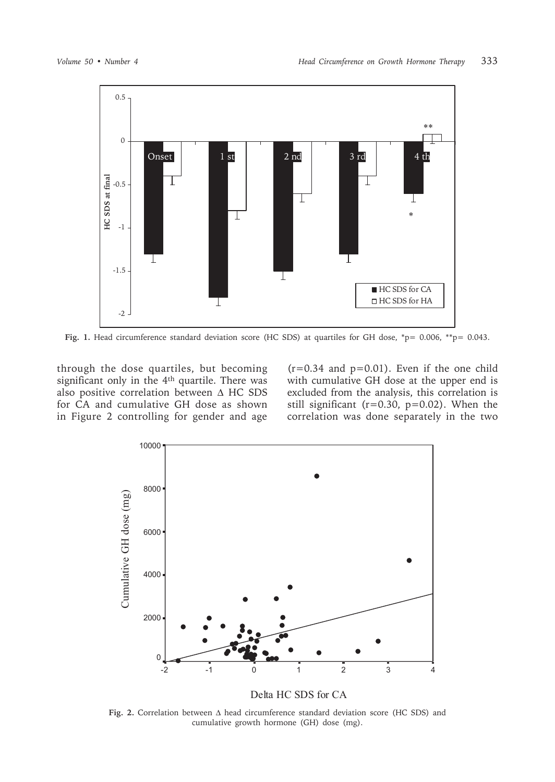

Fig. 1. Head circumference standard deviation score (HC SDS) at quartiles for GH dose, \*p= 0.006, \*\*p= 0.043.

through the dose quartiles, but becoming significant only in the 4<sup>th</sup> quartile. There was also positive correlation between  $\triangle$  HC SDS for CA and cumulative GH dose as shown in Figure 2 controlling for gender and age

 $(r=0.34$  and  $p=0.01)$ . Even if the one child with cumulative GH dose at the upper end is excluded from the analysis, this correlation is still significant ( $r=0.30$ ,  $p=0.02$ ). When the correlation was done separately in the two



Fig. 2. Correlation between  $\Delta$  head circumference standard deviation score (HC SDS) and cumulative growth hormone (GH) dose (mg).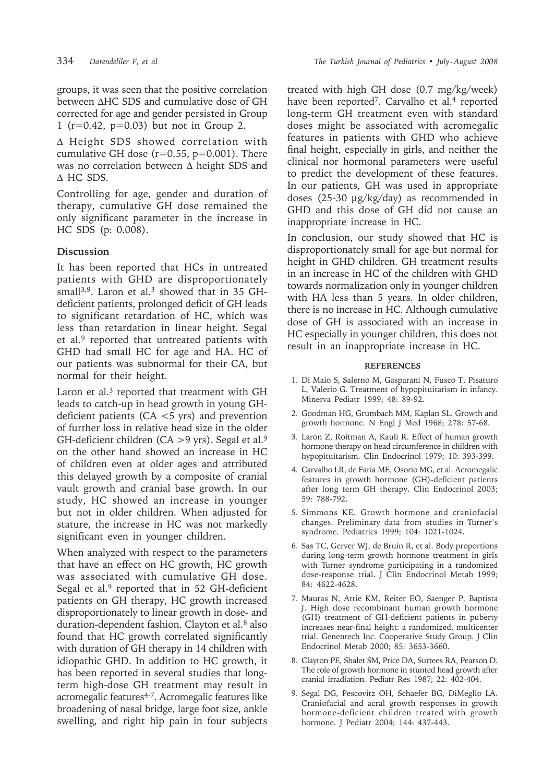groups, it was seen that the positive correlation between ∆HC SDS and cumulative dose of GH corrected for age and gender persisted in Group 1 (r=0.42, p=0.03) but not in Group 2.

∆ Height SDS showed correlation with cumulative GH dose  $(r=0.55, p=0.001)$ . There was no correlation between ∆ height SDS and ∆ HC SDS.

Controlling for age, gender and duration of therapy, cumulative GH dose remained the only significant parameter in the increase in HC SDS (p: 0.008).

## **Discussion**

It has been reported that HCs in untreated patients with GHD are disproportionately small<sup>3,9</sup>. Laron et al.<sup>3</sup> showed that in 35 GHdeficient patients, prolonged deficit of GH leads to significant retardation of HC, which was less than retardation in linear height. Segal et al.<sup>9</sup> reported that untreated patients with GHD had small HC for age and HA. HC of our patients was subnormal for their CA, but normal for their height.

Laron et al.<sup>3</sup> reported that treatment with GH leads to catch-up in head growth in young GHdeficient patients (CA <5 yrs) and prevention of further loss in relative head size in the older GH-deficient children (CA  $>9$  yrs). Segal et al.<sup>9</sup> on the other hand showed an increase in HC of children even at older ages and attributed this delayed growth by a composite of cranial vault growth and cranial base growth. In our study, HC showed an increase in younger but not in older children. When adjusted for stature, the increase in HC was not markedly significant even in younger children.

When analyzed with respect to the parameters that have an effect on HC growth, HC growth was associated with cumulative GH dose. Segal et al. $9$  reported that in 52 GH-deficient patients on GH therapy, HC growth increased disproportionately to linear growth in dose- and duration-dependent fashion. Clayton et al.<sup>8</sup> also found that HC growth correlated significantly with duration of GH therapy in 14 children with idiopathic GHD. In addition to HC growth, it has been reported in several studies that longterm high-dose GH treatment may result in acromegalic features<sup>4-7</sup>. Acromegalic features like broadening of nasal bridge, large foot size, ankle swelling, and right hip pain in four subjects

treated with high GH dose (0.7 mg/kg/week) have been reported<sup>7</sup>. Carvalho et al.<sup>4</sup> reported long-term GH treatment even with standard doses might be associated with acromegalic features in patients with GHD who achieve final height, especially in girls, and neither the clinical nor hormonal parameters were useful to predict the development of these features. In our patients, GH was used in appropriate doses (25-30 µg/kg/day) as recommended in GHD and this dose of GH did not cause an inappropriate increase in HC.

In conclusion, our study showed that HC is disproportionately small for age but normal for height in GHD children. GH treatment results in an increase in HC of the children with GHD towards normalization only in younger children with HA less than 5 years. In older children, there is no increase in HC. Although cumulative dose of GH is associated with an increase in HC especially in younger children, this does not result in an inappropriate increase in HC.

#### **REFERENCES**

- 1. Di Maio S, Salerno M, Gasparani N, Fusco T, Pisaturo L, Valerio G. Treatment of hypopituitarism in infancy. Minerva Pediatr 1999; 48: 89-92.
- 2. Goodman HG, Grumbach MM, Kaplan SL. Growth and growth hormone. N Engl J Med 1968; 278: 57-68.
- 3. Laron Z, Roitman A, Kauli R. Effect of human growth hormone therapy on head circumference in children with hypopituitarism. Clin Endocrinol 1979; 10: 393-399.
- 4. Carvalho LR, de Faria ME, Osorio MG, et al. Acromegalic features in growth hormone (GH)-deficient patients after long term GH therapy. Clin Endocrinol 2003; 59: 788-792.
- 5. Simmons KE. Growth hormone and craniofacial changes. Preliminary data from studies in Turner's syndrome. Pediatrics 1999; 104: 1021-1024.
- 6. Sas TC, Gerver WJ, de Bruin R, et al. Body proportions during long-term growth hormone treatment in girls with Turner syndrome participating in a randomized dose-response trial. J Clin Endocrinol Metab 1999; 84: 4622-4628.
- 7. Mauras N, Attie KM, Reiter EO, Saenger P, Baptista J. High dose recombinant human growth hormone (GH) treatment of GH-deficient patients in puberty increases near-final height: a randomized, multicenter trial. Genentech Inc. Cooperative Study Group. J Clin Endocrinol Metab 2000; 85: 3653-3660.
- 8. Clayton PE, Shalet SM, Price DA, Surtees RA, Pearson D. The role of growth hormone in stunted head growth after cranial irradiation. Pediatr Res 1987; 22: 402-404.
- 9. Segal DG, Pescovitz OH, Schaefer BG, DiMeglio LA. Craniofacial and acral growth responses in growth hormone-deficient children treated with growth hormone. J Pediatr 2004; 144: 437-443.